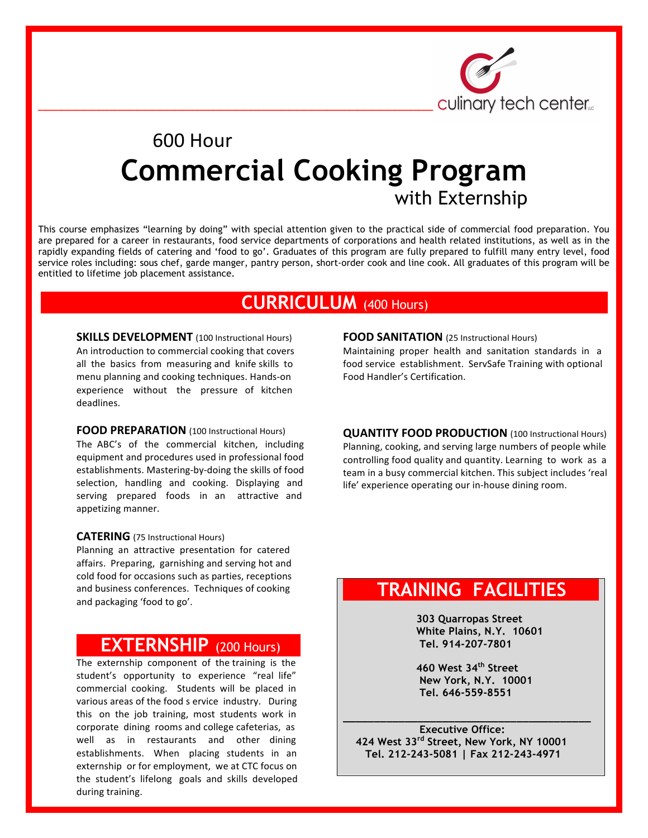

# 600 Hour **Commercial Cooking Program**with Externship

This course emphasizes "learning by doing" with special attention given to the practical side of commercial food preparation. You are prepared for a career in restaurants, food service departments of corporations and health related institutions, as well as in the rapidly expanding fields of catering and 'food to go'. Graduates of this program are fully prepared to fulfill many entry level, food service roles including: sous chef, garde manger, pantry person, short-order cook and line cook. All graduates of this program will be entitled to lifetime job placement assistance.

### **CURRICULUM** (400 Hours) )

**SKILLS DEVELOPMENT** (100 Instructional Hours) An introduction to commercial cooking that covers all the basics from measuring and knife skills to menu planning and cooking techniques. Hands-on experience without the pressure of kitchen deadlines.

#### **FOOD PREPARATION** (100 Instructional Hours)

The ABC's of the commercial kitchen, including equipment and procedures used in professional food establishments. Mastering-by-doing the skills of food selection, handling and cooking. Displaying and serving prepared foods in an attractive and appetizing manner.

#### **CATERING** (75 Instructional Hours)

Planning an attractive presentation for catered affairs. Preparing, garnishing and serving hot and cold food for occasions such as parties, receptions and business conferences. Techniques of cooking and packaging 'food to go'.

### **( EXTERNSHIP** (200 Hours) )

The externship component of the training is the student's opportunity to experience "real life" commercial cooking. Students will be placed in various areas of the food s ervice industry. During this on the job training, most students work in corporate dining rooms and college cafeterias, as well as in restaurants and other dining establishments. When placing students in an externship or for employment, we at CTC focus on the student's lifelong goals and skills developed during training.

**FOOD SANITATION** (25 Instructional Hours)

Maintaining proper health and sanitation standards in a food service establishment. ServSafe Training with optional Food Handler's Certification.

**QUANTITY FOOD PRODUCTION** (100 Instructional Hours) Planning, cooking, and serving large numbers of people while controlling food quality and quantity. Learning to work as a team in a busy commercial kitchen. This subject includes 'real life' experience operating our in-house dining room.

## **TRAINING FACILITIES**

 **303 Quarropas Street White Plains, N.Y. 10601 Tel. 914-207-7801**

 **460 West 34th Street New York, N.Y. 10001 Tel. 646-559-8551**

**\_\_\_\_\_\_\_\_\_\_\_\_\_\_\_\_\_\_\_\_\_\_\_\_\_\_\_\_\_\_\_\_\_\_\_\_\_\_\_\_ Executive Office: 424 West 33rd Street, New York, NY 10001 Tel. 212-243-5081 | Fax 212-243-4971**